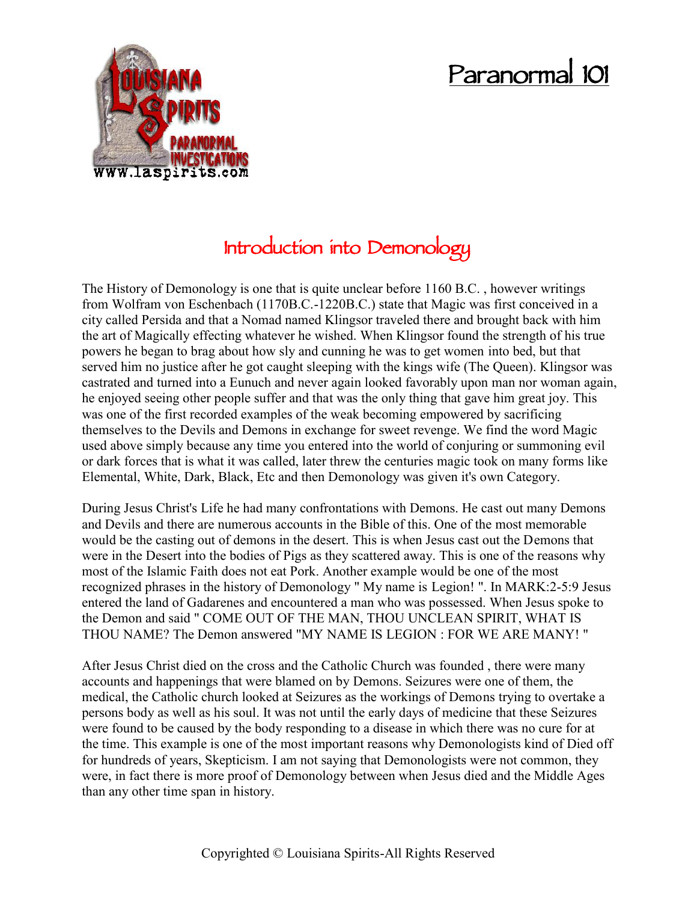# **Paranormal 101**



## **Introduction into Demonology**

The History of Demonology is one that is quite unclear before 1160 B.C. , however writings from Wolfram von Eschenbach (1170B.C.-1220B.C.) state that Magic was first conceived in a city called Persida and that a Nomad named Klingsor traveled there and brought back with him the art of Magically effecting whatever he wished. When Klingsor found the strength of his true powers he began to brag about how sly and cunning he was to get women into bed, but that served him no justice after he got caught sleeping with the kings wife (The Queen). Klingsor was castrated and turned into a Eunuch and never again looked favorably upon man nor woman again, he enjoyed seeing other people suffer and that was the only thing that gave him great joy. This was one of the first recorded examples of the weak becoming empowered by sacrificing themselves to the Devils and Demons in exchange for sweet revenge. We find the word Magic used above simply because any time you entered into the world of conjuring or summoning evil or dark forces that is what it was called, later threw the centuries magic took on many forms like Elemental, White, Dark, Black, Etc and then Demonology was given it's own Category.

During Jesus Christ's Life he had many confrontations with Demons. He cast out many Demons and Devils and there are numerous accounts in the Bible of this. One of the most memorable would be the casting out of demons in the desert. This is when Jesus cast out the Demons that were in the Desert into the bodies of Pigs as they scattered away. This is one of the reasons why most of the Islamic Faith does not eat Pork. Another example would be one of the most recognized phrases in the history of Demonology " My name is Legion! ". In MARK:2-5:9 Jesus entered the land of Gadarenes and encountered a man who was possessed. When Jesus spoke to the Demon and said " COME OUT OF THE MAN, THOU UNCLEAN SPIRIT, WHAT IS THOU NAME? The Demon answered "MY NAME IS LEGION : FOR WE ARE MANY! "

After Jesus Christ died on the cross and the Catholic Church was founded , there were many accounts and happenings that were blamed on by Demons. Seizures were one of them, the medical, the Catholic church looked at Seizures as the workings of Demons trying to overtake a persons body as well as his soul. It was not until the early days of medicine that these Seizures were found to be caused by the body responding to a disease in which there was no cure for at the time. This example is one of the most important reasons why Demonologists kind of Died off for hundreds of years, Skepticism. I am not saying that Demonologists were not common, they were, in fact there is more proof of Demonology between when Jesus died and the Middle Ages than any other time span in history.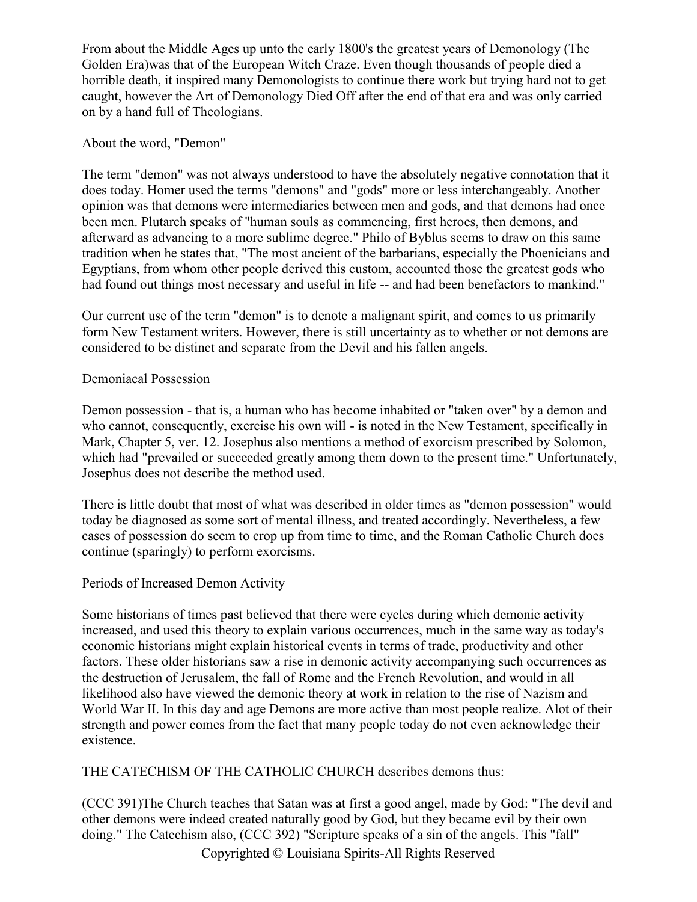From about the Middle Ages up unto the early 1800's the greatest years of Demonology (The Golden Era)was that of the European Witch Craze. Even though thousands of people died a horrible death, it inspired many Demonologists to continue there work but trying hard not to get caught, however the Art of Demonology Died Off after the end of that era and was only carried on by a hand full of Theologians.

#### About the word, "Demon"

The term "demon" was not always understood to have the absolutely negative connotation that it does today. Homer used the terms "demons" and "gods" more or less interchangeably. Another opinion was that demons were intermediaries between men and gods, and that demons had once been men. Plutarch speaks of "human souls as commencing, first heroes, then demons, and afterward as advancing to a more sublime degree." Philo of Byblus seems to draw on this same tradition when he states that, "The most ancient of the barbarians, especially the Phoenicians and Egyptians, from whom other people derived this custom, accounted those the greatest gods who had found out things most necessary and useful in life -- and had been benefactors to mankind."

Our current use of the term "demon" is to denote a malignant spirit, and comes to us primarily form New Testament writers. However, there is still uncertainty as to whether or not demons are considered to be distinct and separate from the Devil and his fallen angels.

#### Demoniacal Possession

Demon possession - that is, a human who has become inhabited or "taken over" by a demon and who cannot, consequently, exercise his own will - is noted in the New Testament, specifically in Mark, Chapter 5, ver. 12. Josephus also mentions a method of exorcism prescribed by Solomon, which had "prevailed or succeeded greatly among them down to the present time." Unfortunately, Josephus does not describe the method used.

There is little doubt that most of what was described in older times as "demon possession" would today be diagnosed as some sort of mental illness, and treated accordingly. Nevertheless, a few cases of possession do seem to crop up from time to time, and the Roman Catholic Church does continue (sparingly) to perform exorcisms.

### Periods of Increased Demon Activity

Some historians of times past believed that there were cycles during which demonic activity increased, and used this theory to explain various occurrences, much in the same way as today's economic historians might explain historical events in terms of trade, productivity and other factors. These older historians saw a rise in demonic activity accompanying such occurrences as the destruction of Jerusalem, the fall of Rome and the French Revolution, and would in all likelihood also have viewed the demonic theory at work in relation to the rise of Nazism and World War II. In this day and age Demons are more active than most people realize. Alot of their strength and power comes from the fact that many people today do not even acknowledge their existence.

THE CATECHISM OF THE CATHOLIC CHURCH describes demons thus:

(CCC 391)The Church teaches that Satan was at first a good angel, made by God: "The devil and other demons were indeed created naturally good by God, but they became evil by their own doing." The Catechism also, (CCC 392) "Scripture speaks of a sin of the angels. This "fall"

Copyrighted © Louisiana Spirits-All Rights Reserved